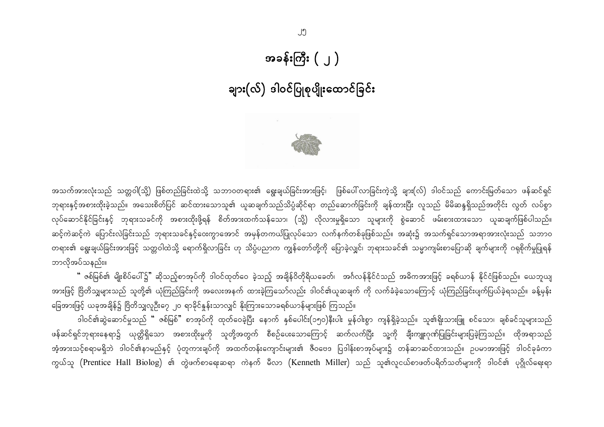# အခန်းကြီး  $(\ )$

# ချား(လ်) ဒါဝင်ပြုစုပျိုးထောင်ခြင်း



အသက်အားလုံးသည် သတ္တဝါ(သို့) ဖြစ်တည်ခြင်းထဲသို့ သဘာဝတရား၏ ရွေးချယ်ခြင်းအားဖြင့်၊ ဖြစ်ပေါ်လာခြင်းကဲ့သို့ ချား(လ်) ဒါဝင်သည် ကောင်းမြတ်သော ဖန်ဆင်ရှင် ဘုရားနှင့်အစားထိုးခဲ့သည်။ အသေးစိတ်ပြင် ဆင်ထားသောသူ၏ ယူဆချက်သည်သိပ္ပံဆိုင်ရာ တည်ဆောက်ခြင်းကို ချန်ထားပြီး လူသည် မိမိဆန္ဒရှိသည်အတိုင်း လွတ် လပ်စွာ လုပ်ဆောင်နိုင်ခြင်းနှင့် ဘုရားသခင်ကို အစားထိုးဖို့ရန် စိတ်အားထက်သန်သော၊ (သို့) လိုလားမှုရှိသော သူများကို စွဲဆောင် ဖမ်းစားထားသော ယူဆချက်ဖြစ်ပါသည်။ ဆင့်ကဲဆင့်ကဲ ပြောင်းလဲခြင်းသည် ဘုရားသခင်နှင့်ဝေးကွာအောင် အမှန်တကယ်ပြုလုပ်သော လက်နက်တစ်ခုဖြစ်သည်။ အဆုံး၌ အသက်ရှင်သောအရာအားလုံးသည် သဘာဝ တရား၏ ရွေးချယ်ခြင်းအားဖြင့် သတ္တဝါထဲသို့ ရောက်ရှိလာခြင်း ဟု သိပ္ပံပညာက ကျွန်တော်တို့ကို ပြောခဲ့လျှင်၊ ဘုရားသခင်၏ သမ္မာကျမ်းစာပြောဆို ချက်များကို ဂရုစိုက်မှုပြုရန် ဘာလိုအပ်သနည်း။

" ဇစ်မြစ်၏ မျိုးစိပ်ပေါ်၌" ဆိုသည့်စာအုပ်ကို ဒါဝင်ထုတ်ဝေ ခဲ့သည့် အချိန်ဝိတိုရိယခေတ်၊ အင်္ဂလန်နိုင်ငံသည် အဓိကအားဖြင့် ခရစ်ယာန် နိုင်ငံဖြစ်သည်။ ယေဘူယျ အားဖြင့် ဗြိတိသျှများသည် သူတို့၏ ယုံကြည်ခြင်းကို အလေးအနက် ထားခဲ့ကြသော်လည်း ဒါဝင်၏ယူဆချက် ကို လက်ခံခဲ့သောကြောင့် ယုံကြည်ခြင်းပျက်ပြယ်ခဲ့ရသည်။ ခန့်မှန်း ခြေအားဖြင့် ယခုအချိန်၌ ဗြိတိသျှလူဦး၇ေ ၂၀ ရာခိုင်နှုန်းသာလျှင် နိုးကြားသောခရစ်ယာန်များဖြစ် ကြသည်။

ဒါဝင်၏ဆွဲဆောင်မှုသည် " ဇစ်မြစ်" စာအုပ်ကို ထုတ်ဝေခဲ့ပြီး နောက် နှစ်ပေါင်း(၁၅ဝ)နီးပါး မှုန်ဝါးစွာ ကျန်ရှိခဲ့သည်။ သူ၏ရိုးသားဖြူ စင်သော၊ ချစ်ခင်သူများသည် ဖန်ဆင်ရှင်ဘုရားနေရာ၌ ယုတ္တိရှိသော အစားထိုးမှုကို သူတို့အတွက် စီစဉ်ပေးသောကြောင့် ဆက်လက်ပြီး သူ့ကို ချီးကျူးဂုဏ်ပြုခြင်းများပြခဲ့ကြသည်။ ထိုအရာသည် အံ့အားသင့်စရာမရှိဘဲ ဒါဝင်၏နာမည်နှင့် ပုံတူကားချပ်ကို အထက်တန်းကျောင်းများ၏ ဇီဝဗေဒ ပြဒါန်းစာအုပ်များ၌ တန်ဆာဆင်ထားသည်။ ဥပမာအားဖြင့် ဒါဝင်ခုခံကာ ကွယ်သူ (Prentice Hall Biolog) ၏ တွဲဖက်စာရေးဆရာ ကဲနက် မီလာ (Kenneth Miller) သည် သူ၏လူငယ်စာဖတ်ပရိတ်သတ်များကို ဒါဝင်၏ ပုဂ္ဂိုလ်ရေးရာ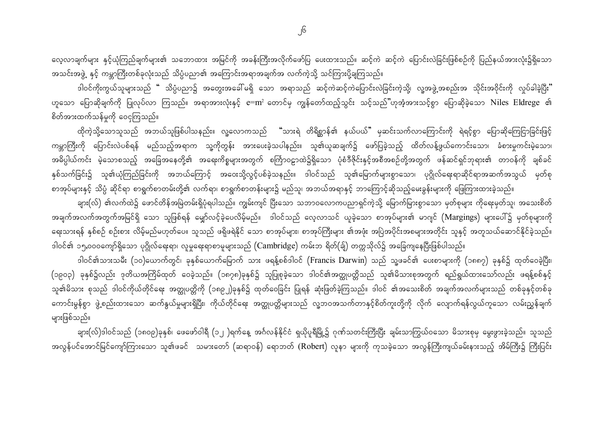လေ့လာချက်များ နှင့်ယုံကြည်ချက်များ၏ သဘောထား အမြင်ကို အခန်းကြီးအလိုက်ဖော်ပြ ပေးထားသည်။ ဆင့်ကဲ ဆင့်ကဲ ပြောင်းလဲခြင်းဖြစ်စဉ်ကို ပြည်နယ်အားလုံး၌ရှိသော အသင်းအဖွဲ့ နှင့် ကမ္ဘာကြီးတစ်ခုလုံးသည် သိပ္ပံပညာ၏ အကြောင်းအရာအချက်အ လက်ကဲ့သို့ သင်ကြားပို့ချကြသည်။

ဒါဝင်ကိုးကွယ်သူများသည် <mark>"</mark> သိပ္ပံပညာ၌ အတွေးအခေါ် မရှိ သော အရာသည် ဆင့်ကဲဆင့်ကဲပြောင်းလဲခြင်းကဲ့သို့၊ လူ့အဖွဲ့အစည်းအ သိုင်းအဝိုင်းကို လှုပ်ခါခဲ့ပြီး" ဟူသော ပြောဆိုချက်ကို ပြုလုပ်လာ ကြသည်။ အရာအားလုံးနှင့် e=m² တောင်မှ ကျွန်တော်ထည့်သွင်း သင့်သည်"ဟုအံ့အားသင့်စွာ ပြောဆိုခဲ့သော Niles Eldrege ၏ စိတ်အားထက်သန်မှုကို ဝေငှကြသည်။

ထိုကဲ့သို့သောသူသည် အဘယ်သူဖြစ်ပါသနည်း။ လူ့လောကသည် "သားရဲ တိရိစ္ဆာန်၏ နယ်ပယ်" မှဆင်းသက်လာကြောင်းကို ရဲရင့်စွာ ပြောဆိုကြေငြာခြင်းဖြင့် ကမ္ဘာကြီးကို ပြောင်းလဲပစ်ရန် မည်သည့်အရာက သူ့ကိုတွန်း အားပေးခဲ့သပါနည်း။ သူ၏ယူဆချက်၌ ဖော်ပြခဲ့သည့် ထိတ်လန့်ဖွယ်ကောင်းသော၊ ခံစားမှုကင်းမဲ့သော၊ အဓိပ္ပါယ်ကင်း မဲ့သောစသည့် အခြေအနေတို့၏ အရေးကိစ္စများအတွက် စင်္ကြာဝဠာထဲ၌ရှိသော ပုံစံဒီဇိုင်းနှင့်အစီအစဉ်တို့အတွက် ဖန်ဆင်ရှင်ဘုရား၏ တာဝန်ကို ချစ်ခင် နှစ်သက်ခြင်း၌ သူ၏ယုံကြည်ခြင်းကို အဘယ်ကြောင့် အဝေးသို့လွင့်ပစ်ခဲ့သနည်း။ ဒါဝင်သည် သူ၏မြောက်များစွာသော၊ ပုဂ္ဂိုလ်ရေးရာဆိုင်ရာအဆက်အသွယ် မှတ်စု စာအုပ်များနှင့် သိပ္ပံ ဆိုင်ရာ စာရွက်စာတမ်းတို့၏ လက်ရာ၊ စာရွက်စာတန်းများ၌ မည်သူ၊ အဘယ်အရာနှင့် ဘာကြောင့်ဆိုသည့်မေးခွန်းများကို ဖြေကြားထားခဲ့သည်။

ချား(လ်) ၏လက်ထဲ၌ ဖောင်တိန်အမြဲတမ်းရှိပုံရပါသည်။ ကျွမ်းကျင် ပြီးသော သဘာဝလောကပညာရှင်ကဲ့သို့ မြောက်မြားစွာသော မှတ်စုများ ကိုရေးမှတ်သူ၊ အသေးစိတ် အချက်အလက်အတွက်အမြင်ရှိ သော သူဖြစ်ရန် မျှော်လင့်ခဲ့ပေလိမ့်မည်။ ဒါဝင်သည် လေ့လာသင် ယူခဲ့သော စာအုပ်များ၏ မာဂျင် (Margings) များပေါ်၌ မှတ်စုများကို ရေးသားရန် နှစ်စဉ် စဉ်းစား လိမ့်မည်မဟုတ်ပေ။ သူသည် ဖရိုဖရဲနိုင် သော စာအုပ်များ၊ စာအုပ်ကြီးများ ၏အဖုံး အပြဲအပိုင်းအစများအတိုင်း သူနှင့် အတူသယ်ဆောင်နိုင်ခဲ့သည်။ ဒါဝင်၏ ၁၅,၀၀၀ကျော်ရှိသော ပုဂ္ဂိုလ်ရေးရာ၊ လူမှုရေးရာစာမူများသည် (Cambridge) ကမ်းဘ ရိတ်(ချ်) တက္ကသိုလ်၌ အခြေကျနေပြီးဖြစ်ပါသည်။

ဒါဝင်၏သားသမီး (၁၀)ယောက်တွင်၊ ခုနှစ်ယောက်မြောက် သား ဖရန့်စစ်ဒါဝင် (Francis Darwin) သည် သူ့ဖခင်၏ ပေးစာများကို (၁၈၈၇) ခုနှစ်၌ ထုတ်ဝေခဲ့ပြီး၊ (၁၉၀၃) ခုနှစ်၌လည်း ဒုတိယအကြိမ်ထုတ် ဝေခဲ့သည်။ (၁၈၇၈)ခုနှစ်၌ သူပြုစုခဲ့သော ဒါဝင်၏အတ္ထုပတ္တိသည် သူ၏မိသားစုအတွက် ရည်ရွယ်ထားသော်လည်း ဖရန့်စစ်နှင့် သူ၏မိသား စုသည် ဒါဝင်ကိုယ်တိုင်ရေး အတ္ထုပတ္တိကို (၁၈၉၂)ခုနှစ်၌ ထုတ်ဝေခြင်း ပြုရန် ဆုံးဖြတ်ခဲ့ကြသည်။ ဒါဝင် ၏အသေးစိတ် အချက်အလက်များသည် တစ်ခုနှင့်တစ်ခု ကောင်းမွန်စွာ ဖွဲ့စည်းထားသော ဆက်နွယ်မှုများရှိပြီး၊ ကိုယ်တိုင်ရေး အတ္ထုပတ္တိများသည် လူ့ဘဝအသက်တာနှင့်စိတ်ကူးတို့ကို လိုက် လျောက်ရန်လွယ်ကူသော လမ်းညွှန်ချက် များဖြစ်သည်။

ချား(လ်)ဒါဝင်သည် (၁၈ဝ၉)ခုနှစ်၊ ဖေဖော်ဝါရီ (၁၂ )ရက်နေ့ အင်္ဂလန်နိုင်ငံ ရှယိုပူရီမြို့၌ ဂုဏ်သတင်းကြီးပြီး ချမ်းသာကြွယ်ဝသော မိသားစုမှ မွေးဖွားခဲ့သည်။ သူသည် အလွန်ပင်အောင်မြင်ကျော်ကြားသော သူ၏ဖခင် သမားတော် (ဆရာဝန်) ရောဘတ် (Robert) လူနာ များကို ကုသခဲ့သော အလွန်ကြီးကျယ်ခမ်းနားသည့် အိမ်ကြီး၌ ကြီးပြင်း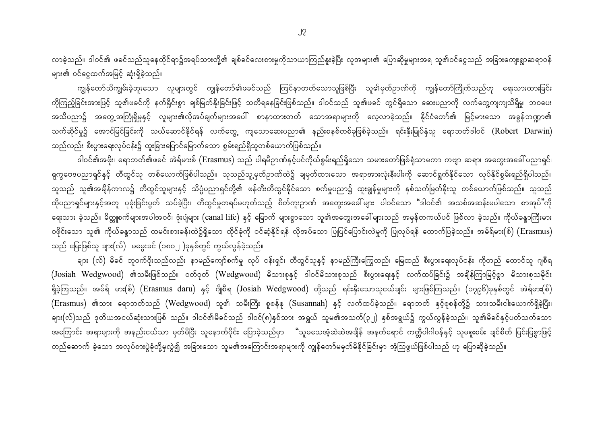လာခဲ့သည်။ ဒါဝင်၏ ဖခင်သည်သူနေထိုင်ရာ၌အရပ်သားတို့၏ ချစ်ခင်လေးစားမှုကိုသာယာကြည်နူးခဲ့ပြီး လူအများ၏ ပြောဆိုမှုများအရ သူ၏ဝင်ငွေသည် အခြားကျေးရွာဆရာဝန် များ၏ ဝင်ငွေထက်အမြင့် ဆုံးရှိခဲ့သည်။

ကျွန်တော်သိကျွမ်းခဲ့ဘူးသော လူများတွင် ကျွန်တော်၏ဖခင်သည် ကြင်နာတတ်သောသူဖြစ်ပြီး သူ၏မှတ်ဉာဏ်ကို ကျွန်တော်ကြိုက်သည်ဟု ရေးသားထားခြင်း ကိုကြည့်ခြင်းအားဖြင့် သူ၏ဖခင်ကို နက်ရှိုင်းစွာ ချစ်မြတ်နိုးခြင်းဖြင့် သတိရနေခြင်းဖြစ်သည်။ ဒါဝင်သည် သူ၏ဖခင် တွင်ရှိသော ဆေးပညာကို လက်တွေ့ကျကျသိရှိမှု၊ ဘဝပေး အသိပညာ၌ အတွေ့အကြုံရှိမှုနှင့် လူများ၏လိုအပ်ချက်များအပေါ် စာနာထားတတ် သောအရာများကို လေ့လာခဲ့သည်။ နိုင်ငံတော်၏ မြင့်မားသော အခွန်ဘဏ္ဍာ၏ သက်ဆိုင်မှု၌ အောင်မြင်ခြင်းကို သယ်ဆောင်နိုင်ရန် လက်တွေ့ ကျသောဆေးပညာ၏ နည်းစနစ်တစ်ခုဖြစ်ခဲ့သည်။ ရင်းနှီးမြုပ်နှံသူ ရောဘတ်ဒါဝင် (Robert Darwin) သည်လည်း စီးပွားရေးလုပ်ငန်း၌ ထူးခြားပြောင်မြောက်သော စွမ်းရည်ရှိသူတစ်ယောက်ဖြစ်သည်။

ဒါဝင်၏အဖိုး၊ ရောဘတ်၏ဖခင် အဲရ်မားစ် (Erasmus) သည် ပါရမီဉာဏ်နှင့်ပင်ကိုယ်စွမ်းရည်ရှိသော သမားတော်ဖြစ်ရံသာမကာ ကဗျာ ဆရာ၊ အတွေးအခေါ် ပညာရှင်၊ ရုက္ခဗေဒပညာရှင်နှင့် တီထွင်သူ တစ်ယောက်ဖြစ်ပါသည်။ သူသည်သူ့မှတ်ဉာဏ်ထဲ၌ ချမှတ်ထားသော အရာအားလုံးနီးပါးကို ဆောင်ရွက်နိုင်သော လုပ်နိုင်စွမ်းရည်ရှိပါသည်။ သူသည် သူ၏အချိန်ကာလ၌ တီထွင်သူများနှင့် သိပ္ပံပညာရှင်တို့၏ ဖန်တီးတီထွင်နိုင်သော စက်မှုပညာ၌ ထူးချွန်မှုများကို နှစ်သက်မြတ်နိုးသူ တစ်ယောက်ဖြစ်သည်။ သူသည် ထိုပညာရှင်များနှင့်အတူ ပုခုံးခြင်းပွတ် သပ်ခဲ့ပြီး၊ တီထွင်မှုတရပ်မဟုတ်သည့် စိတ်ကူးဉာဏ် အတွေးအခေါ်များ ပါဝင်သော "ဒါဝင်၏ အသစ်အဆန်းမပါသော စာအုပ်"ကို ရေးသား ခဲ့သည်။ မိတ္တူစက်များအပါအဝင်၊ ဒုံးပျံများ (canal life) နှင့် မြောက် များစွာသော သူ၏အတွေးအခေါ် များသည် အမှန်တကယ်ပင် ဖြစ်လာ ခဲ့သည်။ ကိုယ်ခန္ဓာကြီးမား ဝဖိုင်းသော သူ၏ ကိုယ်ခန္ဓာသည် ထမင်းစားခန်းထဲ၌ရှိသော ထိုင်ခုံကို ဝင်ဆံ့နိုင်ရန် လိုအပ်သော ပြုပြင်ပြောင်းလဲမှုကို ပြုလုပ်ရန် ထောက်ပြခဲ့သည်။ အမ်ရ်မား(စ်) (Erasmus) သည် မြေးဖြစ်သူ ချား(လ်) မမွေးခင် (၁၈ဝ၂ )ခုနှစ်တွင် ကွယ်လွန်ခဲ့သည်။

ချား (လ်) မိခင် ဘူဝက်ဝိုးသည်လည်း နာမည်ကျော်စက်မှု လုပ် ငန်းရှင်၊ တီထွင်သူနှင့် နာမည်ကြီးကြွေထည်၊ မြေထည် စီးပွားရေးလုပ်ငန်း ကိုတည် ထောင်သူ ဂျစီရ (Josiah Wedgwood) ၏သမီးဖြစ်သည်။ ဝတ်ဝုတ် (Wedgwood) မိသားစုနှင့် ဒါဝင်မိသားစုသည် စီးပွားရေးနှင့် လက်ထပ်ခြင်း၌ အချိန်ကြာမြင့်စွာ မိသားစုသမိုင်း ရှိခဲ့ကြသည်။ အမ်ရ် မား(စ်) (Erasmus daru) နှင့် ဂျိုစီရ (Josiah Wedgwood) တို့သည် ရင်းနှီးသောသူငယ်ချင်း များဖြစ်ကြသည်။ (၁၇၉၆)ခုနှစ်တွင် အဲရ်မား(စ်) (Erasmus) ၏သား ရောဘတ်သည် (Wedgwood) သူ၏ သမီးကြီး စူစန်နု (Susannah) နှင့် လက်ထပ်ခဲ့သည်။ ရောဘတ် နှင့်စူစန်တို့၌ သားသမီးငါးယောက်ရှိခဲ့ပြီး၊ ချား(လ်)သည် ဒုတိယအငယ်ဆုံးသားဖြစ် သည်။ ဒါဝင်၏မိခင်သည် ဒါဝင်(၈)နှစ်သား အရွယ် သူမ၏အသက်(၃၂) နှစ်အရွယ်၌ ကွယ်လွန်ခဲ့သည်။ သူ၏မိခင်နှင့်ပတ်သက်သော အကြောင်း အရာများကို အနည်းငယ်သာ မှတ်မိပြီး သူနောက်ပိုင်း ပြောခဲ့သည်မှာ "သူမသေအံ့ဆဲဆဲအချိန် အနက်ရောင် ကတ္တီပါဂါဝန်နှင့် သူမစူးစမ်း ချင်စိတ် ပြင်းပြစွာဖြင့် တည်ဆောက် ခဲ့သော အလုပ်စားပွဲခုံတို့မှလွဲ၍ အခြားသော သူမ၏အကြောင်းအရာများကို ကျွန်တော်မမှတ်မိနိုင်ခြင်းမှာ အံ့ဩဖွယ်ဖြစ်ပါသည် ဟု ပြောဆိုခဲ့သည်။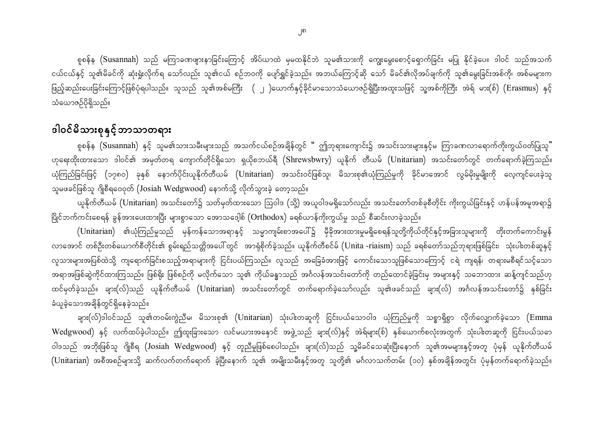စူစန်န (Susannah) သည် မကြာခဏဖျားနာခြင်းကြောင့် အိပ်ယာထဲ မှမထနိုင်ဘဲ သူမ၏သားကို ကျွေးမွေးစောင့်ရှောက်ခြင်း မပြု နိုင်ခဲ့ပေ။ ဒါဝင် သည်အသက် ငယ်ငယ်နှင့် သူ၏မိခင်ကို ဆုံးရှုံးလိုက်ရ သော်လည်း သူ၏ငယ် စဉ်ဘဝကို ပျော်ရွှင်ခဲ့သည်။ အဘယ်ကြောင့်ဆို သော် မိခင်၏လိုအပ်ချက်ကို သူ၏မွေးခြင်းအစ်ကို၊ အစ်မများက ဖြည့်ဆည်းပေးခြင်းကြောင့်ဖြစ်ပုံရပါသည်။ သူသည် သူ၏အစ်မကြီး ( ၂ )ယောက်နှင့်ခိုင်မာသောသံယောဇဉ်ရှိပြီးအထူးသဖြင့် သူ့အစ်ကိုကြီး အဲရ် မား(စ်) (Erasmus) နှင့် သံယောဇဉ်ပိုရှိသည်။

## ဒါဝင်မိသားစုနှင့် ဘာသာတရား

စူစန်န (Susannah) နှင့် သူမ၏သားသမီးများသည် အသက်ငယ်စဉ်အချိန်တွင် " ဤဘုရားကျောင်း၌ အသင်းသားများနှင့်မ ကြာခဏလာရောက်ကိုးကွယ်ဝတ်ပြုသူ" ဟုရေးထိုးထားသော ဒါဝင်၏ အမှတ်တရ ကျောက်တိုင်ရှိသော ရှယိုစဘယ်ရီ (Shrewsbwry) ယူနိုက် တီယမ် (Unitarian) အသင်းတော်တွင် တက်ရောက်ခဲ့ကြသည်။ ယုံကြည်ခြင်းဖြင့် (၁၇၈ဝ) ခုနှစ် နောက်ပိုင်းယူနိုက်တီယမ် (Unitarian) အသင်းဝင်ဖြစ်သူ၊ မိသားစု၏ယုံကြည်မှုကို နိုင်မာအောင် လွမ်မိုးမှုမျိုးကို လေ့ကျင်ပေးခဲ့သူ သူမဖခင်ဖြစ်သူ ဂျိုစီရဝေဝုတ် (Josiah Wedgwood) နောက်သို့ လိုက်သွားခဲ့ တော့သည်။

ယူနိုက်တီယမ် (Unitarian) အသင်းတော်၌ သတ်မှတ်ထားသော ဩဝါဒ (သို့) အယူဝါဒမရှိသော်လည်း အသင်းတော်တစ်ခုစီတိုင်း ကိုးကွယ်ခြင်းနှင့် ဟန်ပန်အမူအရာ၌ ပြိုင်ဘက်ကင်းစေရန် ခွန်အားပေးထားပြီး များစွာသော အောသဒေ့ါစ် (Orthodox) ခရစ်ယာန်ကိုးကွယ်မှု သည် စီဆင်းလာခဲ့သည်။

 ${\rm (Unitarian)}$  ၏ယုံကြည်မှုသည် မှန်ကန်သောအရာနှင့် သမ္ပာကျမ်းစာအပေါ်၌ မှီခိုအားထားမှုမရှိစေရန်သူတို့ကိုယ်တိုင်နှင့်အခြားသူများကို တိုးတက်ကောင်းမွန် လာအောင် တစ်ဦးတစ်ယောက်စီတိုင်း၏ စွမ်းရည်သတ္တိအပေါ် တွင် အာရုံစိုက်ခဲ့သည်။ ယူနိုက်တီစင်မ် (Unita -riaism) သည် ခရစ်တော်သည်ဘုရားဖြစ်ခြင်း၊ သုံးပါးတစ်ဆူနှင့် လူသားများအပြစ်ထဲသို့ ကျရောက်ခြင်းစသည့်အရာများကို ငြင်းပယ်ကြသည်။ လူသည် အခြေခံအားဖြင့် ကောင်းသောသူဖြစ်သောကြောင့် ငရဲ ကျရန်၊ တရားမစီရင်သင့်သော အရာအဖြစ်ဆွဲကိုင်ထားကြသည်။ ဖြစ်ရိုး ဖြစ်စဉ်ကို မလိုက်သော သူ၏ ကိုယ်ခန္ဓာသည် အင်္ဂလန်အသင်းတော်ကို တည်ထောင်ခဲ့ခြင်းမှ အများနှင့် သဘောထား ဆန့်ကျင်သည်ဟု ထင်မှတ်ခဲ့သည်။ ချား(လ်)သည် ယူနိုက်တီယမ် (Unitarian) အသင်းတော်တွင် တက်ရောက်ခဲ့သော်လည်း သူ၏ဖခင်သည် ချား(လ်) အင်္ဂလန်အသင်းတော်၌ နှစ်ခြင်း ခံယူခဲ့သောအချိန်တွင်ရှိနေခဲ့သည်။

ချား(လ််)ဒါဝင်သည် သူ၏တဝမ်းကွဲညီမ၊ မိသားစု၏ (Unitarian) သုံးပါးတဆူကို ငြင်းပယ်သောဝါဒ ယုံကြည်မှုကို သစ္စာရှိစွာ လိုက်လျှောက်ခဲ့သော (Emma Wedgwood) နှင့် လက်ထပ်ခဲ့ပါသည်။ ဤထူးခြားသော လင်မယားအနောင် အဖွဲ့သည် ချား(လ်)နှင့် အဲရ်များ(စ်) နှစ်ယောက်စလုံးအတွက် သုံးပါးတဆူကို ငြင်းပယ်သဓာ ဝါဒသည် အဘိုးဖြစ်သူ ဂျိုစီရ (Josiah Wedgwood) နှင့် တူညီမှုဖြစ်စေပါသည်။ ချား(လ်)သည် သူ့မိခင်သေဆုံးပြီးနောက် သူ၏အမများနှင့်အတူ ပုံမှန် ယူနိုက်တီယမ် (Unitarian) အစီအစဉ်များသို့ ဆက်လက်တက်ရောက် ခဲ့ပြီးနောက် သူ၏ အမျိုးသမီးနှင့်အတူ သူတို့၏ မင်္ဂလာသက်တမ်း (၁၀) နှစ်အချိန်အတွင်း ပုံမှန်တက်ရောက်ခဲ့သည်။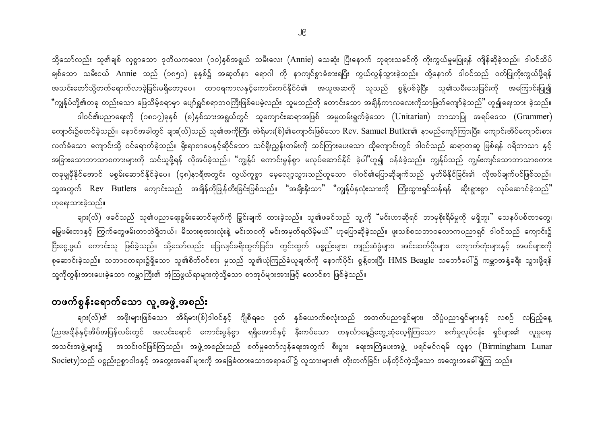သို့သော်လည်း သူ၏ချစ် လှစွာသော ဒုတိယကလေး (၁၀)နှစ်အရွယ် သမီးလေး (Annie) သေဆုံး ပြီးနောက် ဘုရားသခင်ကို ကိုးကွယ်မှုမပြုရန် ကျိန်ဆိုခဲ့သည်။ ဒါဝင်သိပ် ချစ်သော သမီးငယ် Annie သည် (၁၈၅၁) ခုနှစ်၌ အဆုတ်နာ ရောဂါ ကို နာကျင်စွာခံစားရပြီး ကွယ်လွန်သွားခဲ့သည်။ ထို့နောက် ဒါဝင်သည် ဝတ်ပြုကိုးကွယ်ဖို့ရန် အသင်းတော်သို့တက်ရောက်လာခဲ့ခြင်းမရှိတော့ပေ။ ထာဝရကာလနှင့်ကောင်းကင်နိုင်ငံ၏ အယူအဆကို သူသည် စွန့်ပစ်ခဲ့ပြီး သူ၏သမီးသေခြင်းကို အကြောင်းပြု၍ "ကျွန်ုပ်တို့၏တခု တည်းသော ဖြေသိမ့်စရာမှာ ပျော်ရွှင်စရာဘဝကြီးဖြစ်ပေမဲ့လည်း၊ သူမသည်တို တောင်းသော အချိန်ကာလလေးကိုသာဖြတ်ကျော်ခဲ့သည်" ဟူ၍ရေးသား ခဲ့သည်။ ဒါဝင်၏ပညာရေးကို (၁၈၁၇)ခုနှစ် (၈)နှစ်သားအရွယ်တွင် သူကျောင်းဆရာအဖြစ် အမှုထမ်းရွက်ခဲ့သော (Unitarian) ဘာသာပြု အရပ်ဒေသ (Grammer) ကျောင်း၌စတင်ခဲ့သည်။ နောင်အခါတွင် ချား(လ်)သည် သူ၏အကိုကြီး အဲရ်မား(စ်)၏ကျောင်းဖြစ်သော Rev. Samuel Butler၏ နာမည်ကျော်ကြားပြီး၊ ကျောင်းအိပ်ကျောင်းစား လက်ခံသော ကျောင်းသို့ ဝင်ရောက်ခဲ့သည်။ ရိုးရာစာပေနှင့်ဆိုင်သော သင်ရိုးညွှန်းတမ်းကို သင်ကြားပေးသော ထိုကျောင်းတွင် ဒါဝင်သည် ဆရာတဆူ ဖြစ်ရန် ဂရိဘာသာ နှင့် အခြားသောဘာသာစကားများကို သင်ယူဖို့ရန် လိုအပ်ခဲ့သည်။ "ကျွန်ုပ် ကောင်းမွန်စွာ မလုပ်ဆောင်နိုင် ခဲ့ပါ"ဟူ၍ ဝန်ခံခဲ့သည်။ ကျွန်ုပ်သည် ကျွမ်းကျင်သောဘာသာစကား တခုမျှမှီနိုင်အောင် မစွမ်းဆောင်နိုင်ခဲ့ပေ။ (၄၈)နာရီအတွင်း လွယ်ကူစွာ မေ့လျော့သွားသည်ဟူသော ဒါဝင်၏ပြောဆိုချက်သည် မှတ်မိနိုင်ခြင်း၏ လိုအပ်ချက်ပင်ဖြစ်သည်။ သူ့အတွက် Rev Butlers ကျောင်းသည် အချိန်ကိုဖြုန်တီးခြင်းဖြစ်သည်။ "အချီးနှီးသာ" "ကျွန်ုပ်နှလုံးသားကို ကြီးထွားရှင်သန်ရန် ဆိုးရွားစွာ လုပ်ဆောင်ခဲ့သည်" ဟုရေးသားခဲ့သည်။

ချား(လ်) ဖခင်သည် သူ၏ပညာရေးစွမ်းဆောင်ချက်ကို ခြွင်းချက် ထားခဲ့သည်။ သူ၏ဖခင်သည် သူ့ကို "မင်းဟာဆိုရင် ဘာမှစိုးရိမ်မှုကို မရှိဘူး" သေနပ်ပစ်တာတွေ၊ မြွေဖမ်းတာနှင့် ကြွက်တွေဖမ်းတာဘဲရှိတယ်။ မိသားစုအားလုံးနဲ့ မင်းဘဝကို မင်းအမှတ်ရလိမ့်မယ်" ဟုပြောဆိုခဲ့သည်။ ဖူးသစ်စသဘာဝလောကပညာရှင် ဒါဝင်သည် ကျောင်း၌ ငြီးငွေ့ဖွယ် ကောင်းသူ ဖြစ်ခဲ့သည်။ သို့သော်လည်း ခြေလျင်ခရီးထွက်ခြင်း၊ တွင်းထွက် ပစ္စည်းများ၊ ကျည်ဆံခွံများ၊ အင်းဆက်ပိုးများ၊ ကျောက်တုံးများနှင့် အပင်များကို စုဆောင်းခဲ့သည်။ သဘာဝတရား၌ရှိသော သူ၏စိတ်ဝင်စား မှုသည် သူ၏ယုံကြည်ခံယူချက်ကို နောက်ပိုင်း စွန့်စားပြီး HMS Beagle သဘော်ပေါ်၌ ကမ္ဘာအနှံ့ခရီး သွားဖို့ရန် သူ့ကိုတွန်းအားပေးခဲ့သော ကမ္ဘာကြီး၏ အံ့သြဖွယ်ရာများကဲ့သို့သော စာအုပ်များအားဖြင့် လောင်စာ ဖြစ်ခဲ့သည်။

#### တဖက်စွန်းရောက်သော လူ့အဖွဲ့အစည်း

ချား(လ်)၏ အဖိုးများဖြစ်သော အိရ်မား(စ်)ဒါဝင်နှင့် ဂျိုစီရဝေ ဝုတ် နှစ်ယောက်စလုံးသည် အတက်ပညာရှင်များ၊ သိပ္ပံပညာရှင်များနှင့် လစဉ် လပြည့်နေ့ (ညအချိန်နှင့်အိမ်အပြန်လမ်းတွင် အလင်းရောင် ကောင်းမွန်စွာ ရရှိအောင်နှင့် နီးကပ်သော တနင်္လာနေ့၌တွေ့ဆုံလေ့ရှိကြသော စက်မှုလုပ်ငန်း ရှင်များ၏ လူမှုရေး အသင်းအဖွဲ့များ၌ အသင်းဝင်ဖြစ်ကြသည်။ အဖွဲ့အစည်းသည် စက်မှုတော်လှန်ရေးအတွက် စီးပွား ရေးအကြံပေးအဖွဲ့ ဖရင်မင်ဂရမ် လူနာ (Birmingham Lunar Society)သည် ပစ္စည်းဥစ္စာဝါဒနှင့် အတွေးအခေါ် များကို အခြေခံထားသောအရာပေါ်၌ လူသားများ၏ တိုးတက်ခြင်း ပန်တိုင်ကဲ့သို့သော အတွေးအခေါ်ရှိကြ သည်။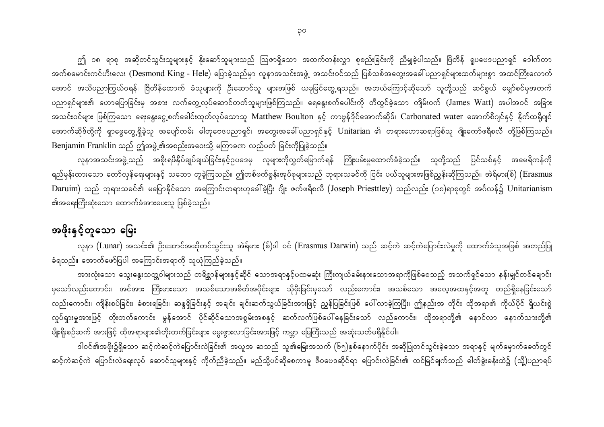ဤ ၁၈ ရာစု အဆိုတင်သွင်းသူများနှင့် နိုးဆော်သူများသည် ဩဇာရှိသော အထက်တန်းလွှာ စုစည်းခြင်းကို ညီမျှခဲ့ပါသည်။ ဗြိတိန် ရူပဗေဒပညာရှင် ဒေါက်တာ အက်စမောင်းကင်ဟီးလေး (Desmond King - Hele) ပြောခဲ့သည်မှာ လူနာအသင်းအဖွဲ့ အသင်းဝင်သည် ပြစ်သစ်အတွေးအခေါ် ပညာရှင်များထက်များစွာ အထင်ကြီးလောက် အောင် အသိပညာကြွယ်ဝရန်၊ ဗြိတိန်ထောက် ခံသူများကို ဦးဆောင်သူ များအဖြစ် ယခုမြင်တွေ့ရသည်။ အဘယ်ကြောင့်ဆိုသော် သူတို့သည် ဆင်စွယ် မျှော်စင်မှအတက် ပညာရှင်များ၏ ဟောပြောခြင်းမှ အစား လက်တွေ့လုပ်ဆောင်တတ်သူများဖြစ်ကြသည်။ ရေနွေးစက်ပေါင်းကို တီထွင်ခဲ့သော ကျိမ်းဝက် (James Watt) အပါအဝင် အခြား အသင်းဝင်များ ဖြစ်ကြသော ရေးနွေးငွေ့စက်ခေါင်းထုတ်လုပ်သောသူ Matthew Boulton နှင့် ကာဗွန်<sup>ဒို</sup>င်အောက်ဆိုဒ်၊ Carbonated water အောက်စီဂျင်နှင့် နိုက်ထရိုဂျင် အောက်ဆိုဒ်တို့ကို ရှာဖွေတွေ့ရှိခဲ့သူ အပျော်တမ်း ဓါတုဗေဒပညာရှင်၊ အတွေးအခေါ်ပညာရှင်နှင့် Unitarian ၏ တရားဟောဆရာဖြစ်သူ ဂျိုးကော်ဖရီစလီ တို့ဖြစ်ကြသည်။ Benjamin Franklin သည် ဤအဖွဲ့၏အစည်းအဝေးသို့ မကြာခဏ လည်ပတ် ခြင်းကိုပြုခဲ့သည်။

လူနာအသင်းအဖွဲ့သည် အစိုးရဖိနိုပ်ချုပ်ချယ်ခြင်းနှင့်ဥပဒေမှ လူများကိုလွှတ်မြောက်ရန် ကြိုးပမ်းမှုထောက်ခံခဲ့သည်။ သူတို့သည် ပြင်သစ်နှင့် အမေရိကန်ကို ရည်မှန်းထားသော တော်လှန်ရေးများနှင့် သဘော တူခဲ့ကြသည်။ ဤတစ်ဖက်စွန်းအုပ်စုများသည် ဘုရားသခင်ကို ငြင်း ပယ်သူများအဖြစ်ညွှန်းဆိုကြသည်။ အဲရ်မား(စ်) (Erasmus Daruim) သည် ဘုရားသခင်၏ မပြောနိုင်သော အကြောင်းတရားဟုခေါ်ခဲ့ပြီး ဂျိုး ဇက်ဖရီစလီ (Joseph Priesttley) သည်လည်း (၁၈)ရာစုတွင် အင်္ဂလန်၌ Unitarianism ၏အရေးကြီးဆုံးသော ထောက်ခံအားပေးသူ ဖြစ်ခဲ့သည်။

#### အဖိုးနှင့်တူသော မြေး

လူနာ (Lunar) အသင်း၏ ဦးဆောင်အဆိုတင်သွင်းသူ အဲရ်မား (စ်)ဒါ ဝင် (Erasmus Darwin) သည် ဆင့်ကဲ ဆင့်ကဲပြောင်းလဲမှုကို ထောက်ခံသူအဖြစ် အတည်ပြု ခံရသည်။ အောက်ဖော်ပြပါ အကြောင်းအရာကို သူယုံကြည်ခဲ့သည်။

အားလုံးသော သွေးနွေးသတ္တဝါများသည် တရိစ္ဆာန်များနှင့်ဆိုင် သောအရာနှင့်ပထမဆုံး ကြီးကျယ်ခမ်းနားသောအရာကိုဖြစ်စေသည့် အသက်ရှင်သော နန်းမျှင်တစ်ချောင်း မှသော်လည်းကောင်း၊ အင်အား ကြီးမားသော အသစ်သောအစိတ်အပိုင်းများ သိုမှီးခြင်းမှသော် လည်းကောင်း၊ အသစ်သော အလေ့အထနှင့်အတူ တည်ရှိနေခြင်းသော် လည်းကောင်း၊ ကျိန်းစပ်ခြင်း၊ ခံစားရခြင်း၊ ဆန္ဒရှိခြင်းနှင့် အချင်း ချင်းဆက်သွယ်ခြင်းအားဖြင့် ညွှန်ပြခြင်းဖြစ် ပေါ်လာခဲ့ကြပြီး၊ ဤနည်းအ တိုင်း ထိုအရာ၏ ကိုယ်ပိုင် ရှိယင်းစွဲ လှုပ်ရှားမှုအားဖြင့် တိုးတက်ကောင်း မွန်အောင် ပိုင်ဆိုင်သောအစွမ်းအစနှင့် ဆက်လက်ဖြစ်ပေါ်နေခြင်းသော် လည်ကောင်း၊ ထိုအရာတို့၏ နောင်လာ နောက်သားတို့၏ မျိုးရိုးစဉ်ဆက် အားဖြင့် ထိုအရာများ၏တိုးတက်ခြင်းများ မွေးဖွားလာခြင်းအားဖြင့် ကမ္ဘာ မြေကြီးသည် အဆုံးသတ်မရှိနိုင်ပါ။

ဒါဝင်၏အဖိုး၌ရှိသော ဆင့်ကဲဆင့်ကဲပြောင်းလဲခြင်း၏ အယူအ ဆသည် သူ၏မြေးအသက် (၆၅)နှစ်နောက်ပိုင်း အဆိုပြုတင်သွင်းခဲ့သော အရာနှင့် မျက်မှောက်ခေတ်တွင် ဆင့်ကဲဆင့်ကဲ ပြောင်းလဲရေးလုပ် ဆောင်သူများနှင့် ကိုက်ညီခဲ့သည်။ မည်သို့ပင်ဆိုစေကာမူ ဇီဝဗေဒဆိုင်ရာ ပြောင်းလဲခြင်း၏ ထင်မြင်ချက်သည် ဓါတ်ခွဲးခန်းထဲ၌ (သို့)ပညာရပ်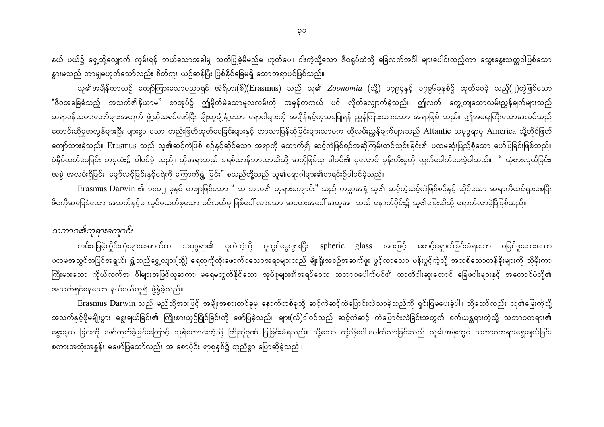နယ် ပယ်၌ ရှေ့သို့လျှောက် လှမ်းရန် ဘယ်သောအခါမျှ သတိပြုခဲ့မိမည်မ ဟုတ်ပေ။ ငါးကဲ့သို့သော ဇီဝရုပ်ထဲသို့ ခြေလက်အင်္ဂါ များပေါင်းထည့်ကာ သွေးနွေးသတ္တဝါဖြစ်သော နွားမသည် ဘာမျှမဟုတ်သော်လည်း စိတ်ကူး ယဉ်ဆန်ပြီး ဖြစ်နိုင်ခြေမရှိ သောအရာပင်ဖြစ်သည်။

သူ၏အချိန်ကာလ၌ ကျော်ကြားသောပညာရှင် အဲရ်မား(စ်)(Erasmus) သည် သူ၏ *Zoonomia* (သို့) ၁၇၉၄နှင့် ၁၇၉၆ခုနှစ်၌ ထုတ်ဝေခဲ့ သည့်(၂)တွဲဖြစ်သော <mark>"</mark>ဇီဝအခြေခံသည့် အသက်၏နိယာမ" စာအုပ်၌ ဤမိုက်မဲသောမူလလမ်းကို အမှန်တကယ် ပင် လိုက်လျှောက်ခဲ့သည်။ ဤလက် တွေ့ကျသောလမ်းညွှန်ချက်များသည် ဆရာဝန်သမားတော်များအတွက် ဖွဲ့ဆိုသရုပ်ဖော်ပြီး မျိုးတူပျံ့နှံ့သော ရောဂါများကို အချိန်နှင့်ကုသမှုပြုရန် ညွှန်ကြားထားသော အရာဖြစ် သည်။ ဤအရေးကြီးသောအလုပ်သည် တောင်းဆိုမှုအလွန်များပြီး များစွာ သော တည်းဖြတ်ထုတ်ဝေခြင်းများနှင့် ဘာသာပြန်ဆိုခြင်းများသာတ ထိုလမ်းညွှန်ချက်များသည် Attantic သမုဒ္ဒရာမှ America သို့တိုင်ဖြတ် ကျော်သွားခဲ့သည်။ Erasmus သည် သူ၏ဆင့်ကဲဖြစ် စဉ်နှင့်ဆိုင်သော အရာကို ထောက်၍ ဆင့်ကဲဖြစ်စဉ်အဆိုကြမ်းတင်သွင်းခြင်း၏ ပထမဆုံးပြည့်စုံသော ဖော်ပြခြင်းဖြစ်သည်။ ပုံနှိပ်ထုတ်ဝေခြင်း တခုလုံး၌ ပါဝင်ခဲ့ သည်။ ထိုအရာသည် ခရစ်ယာန်ဘာသာဆီသို့ အကိုဖြစ်သူ ဒါဝင်၏ ပူလောင် မုန်းတီးမှုကို ထွက်ပေါက်ပေးခဲ့ပါသည်။ " ယုံစားလွယ်ခြင်း၊ အစွဲ အလမ်းရှိခြင်း၊ မျှော်လင့်ခြင်းနှင့်ငရဲကို ကြောက်ရွံ့ ခြင်း" စသည်တို့သည် သူ၏ရောဂါများ၏စာရင်း၌ပါဝင်ခဲ့သည်။

Erasmus Darwin ၏ ၁၈၀၂ ခုနှစ် ကဗျာဖြစ်သော " သ ဘာဝ၏ ဘုရားကျောင်း" သည် ကမ္ဘာအနံ့ သူ၏ ဆင့်ကဲ့ဆင့်ကဲဖြစ်စဉ်နှင့် ဆိုင်သော အရာကိုထင်ရှားစေပြီး ဇီဝကိုအခြေခံသော အသက်နှင့်မ လှုပ်မယှက်စုသော ပင်လယ်မှ ဖြစ်ပေါ် လာသော အတွေးအခေါ် အယူအ သည် နောက်ပိုင်း၌ သူ၏မြေးဆီသို့ ရောက်လာခဲ့ပြီဖြစ်သည်။

#### သဘာဝ၏ဘုရားကျောင်း

ကမ်းခြေမဲ့လှိုင်းလုံးများအောက်က သမုဒ္ဒရာ၏ ပုလဲကဲ့သို့ ဂူတွင်မွေးဖွားပြီး spheric glass အားဖြင့် စောင့်ရှောက်ခြင်းခံရသော မမြင်ဖူးသေးသော ပထမအသွင်အပြင်အရွယ်၊ ရွံ့သည်ရွှေ့လျား(သို့) ရေထုကိုထိုးဖောက်စသောအရာများသည် မျိုးရိုးအစဉ်အဆက်ဖူး ဖွင့်လာသော ပန်းပွင့်ကဲ့သို့ အသစ်သောတန်ခိုးများကို သိုမှီးကာ ကြီးမားသော ကိုယ်လက်အ ဂ်ါများအဖြစ်ယူဆကာ မရေမတွက်နိုင်သော အုပ်စုများ၏အရပ်ဒေသ သဘာဝပေါက်ပင်၏ ကာတိငါးဆူးတောင် ခြေဖဝါးများနှင့် အတောင်ပံတို့၏ အသက်ရှင်နေသော နယ်ပယ်ဟူ၍ ဖွဲ့နွဲခဲ့သည်။

Erasmus Darwin သည် မည်သို့အားဖြင့် အမျိုးအစားတစ်ခုမှ နောက်တစ်ခုသို့ ဆင့်ကဲဆင့်ကဲပြောင်းလဲလာခဲ့သည်ကို ရှင်းပြမပေးခဲ့ပါ။ သို့သော်လည်း သူ၏မြေးကဲ့သို့ အသက်နှင့်ဖိုမမျိုးပွား ရွေးချယ်ခြင်း၏ ကြိုးစားယှဉ်ပြိုင်ခြင်းကို ဖော်ပြခဲ့သည်။ ချား(လ်)ဒါဝင်သည် ဆင့်ကဲဆင့် ကဲပြောင်းလဲခြင်းအတွက် စက်ယန္တရားကဲ့သို့ သဘာဝတရား၏ ရွေးချယ် ခြင်းကို ဖော်ထုတ်ခဲ့ခြင်းကြောင့် သူရဲကောင်းကဲ့သို့ ကြိုဆိုဂုဏ် ပြုခြင်းခံရသည်။ သို့သော် ထို့သို့ပေါ်ပေါက်လာခြင်းသည် သူ၏အဖိုးတွင် သဘာဝတရားရွေးချယ်ခြင်း စကားအသုံးအနူန်း မဖော်ပြသော်လည်း အ စောပိုင်း ရာစုနှစ်၌ တူညီစွာ ပြောဆိုခဲ့သည်။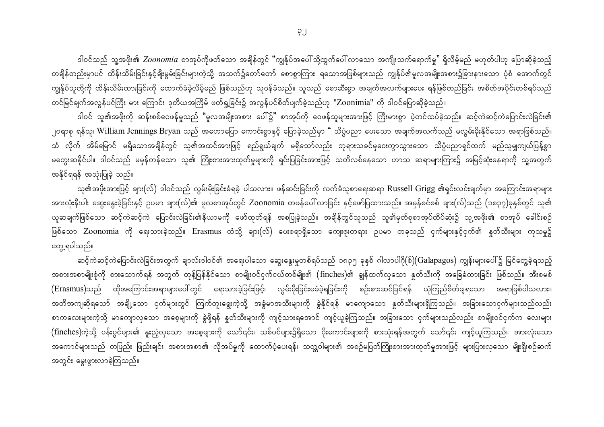ဒါဝင်သည် သူ့အဖိုး၏ *Zoonomia စ*ာအုပ်ကိုဖတ်သော အချိန်တွင် "ကျွန်ုပ်အပေါ် သို့ထွက်ပေါ် လာသော အကျိုးသက်ရောက်မှု" ရှိလိမ့်မည် မဟုတ်ပါဟု ပြောဆိုခဲ့သည့် တချိန်တည်းမှာပင် ထိန်းသိမ်းခြင်းနှင့်ချီးမွမ်းခြင်းများကဲ့သို့ အသက်၌တော်တော် စောစွာကြား ရသောအဖြစ်များသည် ကျွန်ုပ်၏မူလအမျိုးအစား၌ခြားနားသော ပုံစံ အောက်တွင် ကျွန်ုပ်သူတို့ကို ထိန်းသိမ်းထားခြင်းကို ထောက်ခံခဲ့လိမ့်မည် ဖြစ်သည်ဟု သူဝန်ခံသည်။ သူသည် စောဆီးစွာ အချက်အလက်များပေး ရန်ဖြစ်တည်ခြင်း အစိတ်အပိုင်းတစ်ရပ်သည် တင်မြင်ချက်အလွန်ပင်ကြီး မား ကြောင်း ဒုတိယအကြိမ် ဖတ်ရှု့ခြင်း၌ အလွန်ပင်စိတ်ပျက်ခဲ့သည်ဟု "Zoonimia" ကို ဒါဝင်ပြောဆိုခဲ့သည်။

ဒါဝင် သူ၏အဖိုးကို ဆန်းစစ်ဝေဖန်မှုသည် "မူလအမျိုးအစား ပေါ်၌" စာအုပ်ကို ဝေဖန်သူများအားဖြင့် ကြီးမားစွာ ပဲ့တင်ထပ်ခဲ့သည်။ ဆင့်ကဲဆင့်ကဲပြောင်းလဲခြင်း၏ ၂၀ရာစု ရန်သူ၊ William Jennings Bryan သည် အဟောပြော ကောင်းစွာနှင့် ပြောခဲ့သည်မှာ " သိပ္ပံပညာ ပေးသော အချက်အလက်သည် မလွမ်းမိုးနိုင်သော အရာဖြစ်သည်။ သံ လိုက် အိမ်မြောင် မရှိသောအချိန်တွင် သူ၏အထင်အားဖြင့် ရည်ရွယ်ချက် မရှိသော်လည်း ဘုရားသခင်မှဝေးကွာသွားသော သိပ္ပံပညာရှင်ထက် မည်သူမျှကျယ်ပြန့်စွာ မတွေးဆနိုင်ပါ။ ဒါဝင်သည် မမှန်ကန်သော သူ၏ ကြိုးစားအားထုတ်မှုများကို ရှင်းပြခြင်းအားဖြင့် သတိလစ်နေသော ဟာသ ဆရာများကြား၌ အမြင့်ဆုံးနေရာကို သူ့အတွက် အနိုင်ရရန် အသုံးပြုခဲ့ သည်။

သူ၏အဖိုးအားဖြင့် ချား(လ်) ဒါဝင်သည် လွမ်းမိုးခြင်းခံရခဲ့ ပါသလား။ ဖန်ဆင်းခြင်းကို လက်ခံသူစာရေးဆရာ Russell Grigg ၏ရှင်းလင်းချက်မှာ အကြောင်းအရာများ အားလုံးနီးပါး ဆွေးနွေးခဲ့ခြင်းနှင့် ဥပမာ ချား(လ်)၏ မူလစာအုပ်တွင် Zoonomia တဖန်ပေါ်လာခြင်း နှင့်ဖော်ပြထားသည်။ အမှန်စင်စစ် ချား(လ်)သည် (၁၈၃၇)ခုနှစ်တွင် သူ၏ ယူဆချက်ဖြစ်သော ဆင့်ကဲဆင့်ကဲ ပြောင်းလဲခြင်း၏နိယာမကို ဖော်ထုတ်ရန် အစပြုခဲ့သည်။ အချိန်တွင်သူသည် သူ၏မှတ်စုစာအုပ်ထိပ်ဆုံး၌ သူ့အဖိုး၏ စာအုပ် ခေါင်းစဉ် ဖြစ်သော Zoonomia ကို ရေးသားခဲ့သည်။ Erasmus ထံသို့ ချား(လ်) ပေးစရာရှိသော ကျေးဇူးတရား ဉပမာ တခုသည် ငှက်များနှင့်ငှက်၏ နှုတ်သီးများ ကုသမှု၌ တွေ့ ရပါသည်။

ဆင့်ကဲဆင့်ကဲပြောင်းလဲခြင်းအတွက် ချာလ်းဒါဝင်၏ အရေးပါသော ဆွေးနွေးမှုတစ်ရပ်သည် ၁၈၃၅ ခုနှစ် ဂါလာပါဂို(စ်)(Galapagos) ကျွန်းများပေါ်၌ မြင်တွေ့ခဲ့ရသည့် အစားအစာမျိုးစုံကို စားသောက်ရန် အတွက် တုန့်ပြန်နိုင်သော စာမျိုးဝင်ငှက်ငယ်တစ်မျိုး၏ (finches)၏ ချွန်ထက်လှသော နှုတ်သီးကို အခြေခံထားခြင်း ဖြစ်သည်။ အီးစမစ် (Erasmus)သည် ထိုအကြောင်းအရာများပေါ်တွင် ရေးသားခဲ့ခြင်းဖြင့်၊ လွမ်းမိုးခြင်းမခံခဲ့ရခြင်းကို စဉ်းစားဆင်ခြင်ရန် ယုံကြည်စိတ်ချရသော အရာဖြစ်ပါသလား။ အတိအကျဆိုရသော် အချို့သော ငှက်များတွင် ကြက်တူးရွေးကဲ့သို့ အခွံမာအသီးများကို ခွဲနိုင်ရန် မာကျောသော နူတ်သီးများရှိကြသည်။ အခြားသောငှက်များသည်လည်း စာကလေးများကဲ့သို့ မာကျောလှသော အစေ့များကို ခွဲဖို့ရန် နှတ်သီးများကို ကျင့်သားရအောင် ကျင့်ယူခဲ့ကြသည်။ အခြားသော ငှက်များသည်လည်း စာမျိုးဝင်ငှက်က လေးများ (finches)ကဲ့သို့ ပန်းပွင်များ၏ နူးညံ့လှသော အစေ့များကို သော်၎င်း၊ သစ်ပင်များ၌ရှိသော ပိုးကောင်းများကို စားသုံးရန်အတွက် သော်၎င်း ကျင့်ယူကြသည်။ အားလုံးသော အကောင်များသည် တဖြည်း ဖြည်းချင်း အစားအစာ၏ လိုအပ်မှုကို ထောက်ပံ့ပေးရန်၊ သတ္တဝါများ၏ အစဉ်မပြတ်ကြိုးစားအားထုတ်မှုအားဖြင့် များပြားလှသော မျိုးရိုးစဉ်ဆက် အတွင်း မွေးဖွားလာခဲ့ကြသည်။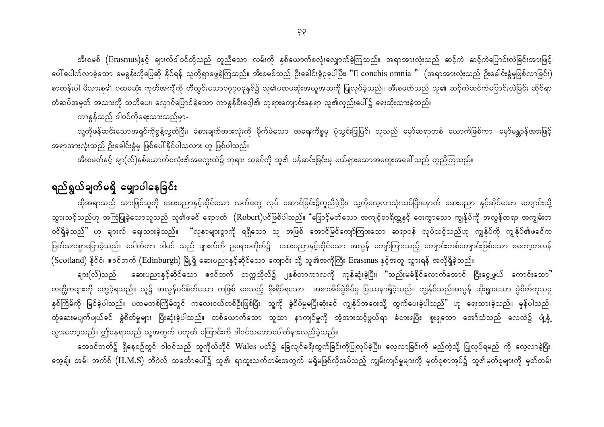အီးစမစ် (Erasmus)နှင့် ချားလ်ဒါဝင်တို့သည် တူညီသော လမ်းကို နှစ်ယောက်စလုံးလျှောက်ခဲ့ကြသည်။ အရာအားလုံးသည် ဆင့်ကဲ ဆင့်ကဲပြောင်းလဲခြင်းအားဖြင့် ပေါ် ပေါက်လာခဲ့သော မေခွန်းကိုဖြေဆို နိုင်ရန် သူတို့ရှာဖွေခဲ့ကြသည်။ အီးစမစ်သည် ဦးခေါင်းခွံ၃ခုပါပြီး၊ "E conchis omnia " (အရာအားလုံးသည် ဦးခေါင်းခွံမှဖြစ်လာခြင်း) စာတန်းပါ မိသားစု၏ ပထမဆုံး ကုတ်အကျီကို တီထွင်းသော၁၇၇၀ခုနှစ်၌ သူ၏ပထမဆုံးအယူအဆကို ပြုလုပ်ခဲ့သည်။ အီးစမတ်သည် သူ၏ ဆင့်ကဲဆင်ကဲပြောင်းလဲခြင်း ဆိုင်ရာ တံဆပ်အမှတ် အသားကို သတိပေး၊ လှောင်ပြောင်ခဲ့သော ကာနွန်စီးဝေ့ါ၏ ဘုရားကျောင်းနေရာ သူ၏လှည်းပေါ်၌ ရေးထိုးထားခဲ့သည်။

ကာနွန်သည် ဒါဝင်ကိုရေးသားသည်မှာ-

သူ့ကိုဖန်ဆင်းသောအရှင်ကိုစွန့်လွတ်ပြီး၊ ခံစားချက်အားလုံးကို မိုက်မဲသော အရေးကိစ္စမှ ပုံသွင်းပြုပြင်၊ သူသည် မှော်ဆရာတစ် ယောက်ဖြစ်ကာ၊ မှော်မန္တာန်အားဖြင့် အရာအားလုံးသည် ဦးခေါင်းခွံမှ ဖြစ်ပေါ်နိုင်ပါသလား ဟူ ဖြစ်ပါသည်။

အီးစမတ်နှင့် ချာ(လ်)နှစ်ယောက်စလုံး၏အတွေးထဲ၌ ဘုရား သခင်ကို သူ၏ ဖန်ဆင်းခြင်းမှ ဖယ်ရှားသောအတွေးအခေါ် သည် တူညီကြသည်။

### ရည်ရွယ်ချက်မရှိ မျှောပါနေခြင်း

ထိုအရာသည် သားဖြစ်သူကို ဆေးပညာနှင့်ဆိုင်သော လက်တွေ့ လုပ် ဆောင်ခြင်း၌ကူညီခဲ့ပြီး၊ သူ့ကိုလေ့လာသုံးသပ်ပြီးနောက် ဆေးပညာ နှင့်ဆိုင်သော ကျောင်းသို့ သွားသင့်သည်ဟု အကြံပြုခဲ့သောသူသည် သူ၏ဖခင် ရောဖတ်  $\,$  (Robert)ပင်ဖြစ်ပါသည်။ "ဖြောင့်မတ်သော အကျင့်စာရိတ္တနှင့် ဝေးကွာသော ကျွန်ုပ်ကို အလွန်တရာ အကျွမ်းတ ဝင်ရှိခဲ့သည်" ဟု ချားလ် ရေးသားခဲ့သည်။ "လူနာများစွာကို ရရှိသော သူ အဖြစ် အောင်မြင်ကျော်ကြားသော ဆရာဝန် လုပ်သင့်သည်ဟု ကျွန်ုပ်ကို ကျွန်ုပ်၏ဖခင်က ပြတ်သားစွာပြောခဲ့သည်။ ဒေါက်တာ ဒါဝင် သည် ချားလ်ကို ဉရောပတိုက်၌ ဆေးပညာနှင့်ဆိုင်သော အလွန် ကျော်ကြားသည့် ကျောင်းတစ်ကျောင်းဖြစ်သော စကော့တလန် (Scotland) နိုင်ငံ၊ ဧဒင်ဘက် (Edinburgh) မြို့ရှိ ဆေးပညာနှင့်ဆိုင်သော ကျောင်း သို့ သူ၏အကိုကြီး Erasmus နှင့်အတူ သွားရန် အလိုရှိခဲ့သည်။

ချား(လ်)သည် ဆေးပညာနှင့်ဆိုင်သော ဧဒင်ဘက် တက္ကသိုလ်၌ ၂နှစ်တာကာလကို ကုန်ဆုံးခဲ့ပြီး၊ "သည်းမခံနိုင်လောက်အောင် ငြီးငွေ့ဖွယ် ကောင်းသော" ကတ္ထိကများကို တွေ့ခဲ့ရသည်။ သူ၌ အလွန်ပင်စိတ်သော ကဖြစ် စေသည့် စိုးရိမ်ရသော အစာအိမ်ခွဲစိပ်မှု ပြဿနာရှိခဲ့သည်။ ကျွန်ုပ်သည်အလွန် ဆိုးရွားသော ခွဲစိတ်ကုသမှု နှစ်ကြိမ်ကို မြင်ခဲ့ပါသည်။ ပထမတစ်ကြိမ်တွင် ကလေးငယ်တစ်ဦးဖြစ်ပြီး၊ သူ့ကို ခွဲစိပ်မှုမပြီးဆုံးခင် ကျွန်ုပ်အဝေးသို့ ထွက်ပေးခဲ့ပါသည်" ဟု ရေးသားခဲ့သည်။ မှန်ပါသည်။ ထုံဆေးမပျက်ပျယ်ခင် ခွဲစိတ်မှုများ ပြီးဆုံးခဲ့ပါသည်။ တစ်ယောက်သော သူသာ နာကျင်မှုကို အံ့အားသင့်ဖွယ်ရာ ခံစားရပြီး၊ စူးရှသော အော်သံသည် လေထဲ၌ ပျံ့နှံ့ သွားတော့သည်။ ဤနေရာသည် သူ့အတွက် မဟုတ် ကြောင်းကို ဒါဝင်သဘောပေါက်နားလည်ခဲ့သည်။

အေဒင်ဘတ်၌ ရှိနေစဉ်တွင် ဒါဝင်သည် သူကိုယ်တိုင် Wales ပတ်၌ ခြေလျင်ခရီးထွက်ခြင်းကိုပြုလုပ်ခဲ့ပြီး၊ လေ့လာခြင်းကို မည်ကဲ့သို့ ပြုလုပ်ရမည် ကို လေ့လာခဲ့ပြီး၊ အေ့ချ်၊ အမ်၊ အက်စ်  $\rm(H.M.S)$  ဘီဂဲလ် သင်္ဘောပေါ်၌ သူ၏ ရာထူးသက်တမ်းအတွက် မရှိမဖြစ်လိုအပ်သည့် ကျွမ်းကျင်မှုများကို မှတ်စုစာအုပ်၌ သူ၏မှတ်စုများကို မှတ်တမ်း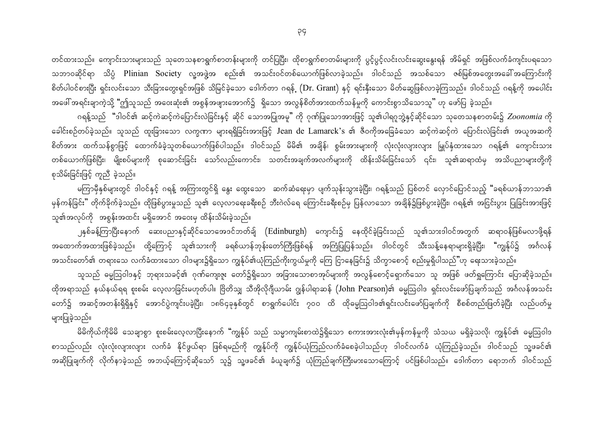တင်ထားသည်။ ကျောင်းသားများသည် သုတေသနစာရွက်စာတန်းများကို တင်ပြပြီး၊ ထိုစာရွက်စာတမ်းများကို ပွင့်ပွင့်လင်းလင်းဆွေးနွေးရန် အိမ်ရှင် အဖြစ်လက်ခံကျင်းပရသော သဘာဝဆိုင်ရာ သိပ္ပံ Plinian Society လူ့အဖွဲ့အ စည်း၏ အသင်းဝင်တစ်ယောက်ဖြစ်လာခဲ့သည်။ ဒါဝင်သည် အသစ်သော ဇစ်မြစ်အတွေးအခေါ်အကြောင်းကို စိတ်ပါဝင်စားပြီး ရှင်းလင်းသော သီးခြားတွေးရှင်အဖြစ် သိမြင်ခဲ့သော ဒေါက်တာ ဂရန်္ (Dr. Grant) နှင့် ရင်းနှီးသော မိတ်ဆွေဖြစ်လာခဲ့ကြသည်။ ဒါဝင်သည် ဂရန့်ကို အပေါင်း အဖေါ် အရင်းချာကဲ့သို့ "ဤသူသည် အဝေးဆုံး၏ အစွန်အဖျားအောက်၌ ရှိသော အလွန်စိတ်အားထက်သန်မှုကို ကောင်းစွာသိသောသူ" ဟု ဖော်ပြ ခဲ့သည်။

ဂရန့်သည် "ဒါဝင်၏ ဆင့်ကဲဆင့်ကဲပြောင်းလဲခြင်းနှင့် ဆိုင် သောအပြုအမူ" ကို ဂုဏ်ပြုသောအားဖြင့် သူ၏ပါရဂူဘွဲ့နှင့်ဆိုင်သော သုတေသနစာတမ်း၌ *Zoonomia* ကို ခေါင်းစဉ်တပ်ခဲ့သည်။ သူသည် ထူးခြားသော လက္ခဏာ များရရှိခြင်းအားဖြင့် Jean de Lamarck's ၏ ဇီဝကိုအခြေခံသော ဆင့်ကဲဆင့်ကဲ ပြောင်းလဲခြင်း၏ အယူအဆကို စိတ်အား ထက်သန်စွာဖြင့် ထောက်ခံခဲ့သူတစ်ယောက်ဖြစ်ပါသည်။ ဒါဝင်သည် မိမိ၏ အချိန်၊ စွမ်းအားများကို လုံးလုံးလျားလျား မြှုပ်နှံထားသော ဂရန့်၏ ကျောင်းသား တစ်ယောက်ဖြစ်ပြီး၊ မျိုးစပ်များကို စုဆောင်းခြင်း သော်လည်းကောင်း၊ သတင်းအချက်အလက်များကို ထိန်းသိမ်းခြင်းသော် ၎င်း၊ သူ၏ဆရာထံမှ အသိပညာများတို့ကို စုသိမ်းခြင်းဖြင့် ကူညီ ခဲ့သည်။

မကြာမှီနှစ်များတွင် ဒါဝင်နှင့် ဂရန့် အကြားတွင်ရှိ နွေး ထွေးသော ဆက်ဆံရေးမှာ ပျက်သုန်းသွားခဲ့ပြီး၊ ဂရန့်သည် ပြစ်တင် လှောင်ပြောင်သည့် "ခရစ်ယာန်ဘာသာ၏ မှန်ကန်ခြင်း" တိုက်ခိုက်ခဲ့သည်။ ထိုဖြစ်ပွားမှုသည် သူ၏ လေ့လာရေးခရီးစဉ် ဘီးဂဲလ်ရေ ကြောင်းခရီးစဉ်မှ ပြန်လာသော အချိန်၌ဖြစ်ပွားခဲ့ပြီး၊ ဂရန့်၏ အငြင်းပွား ပြုခြင်းအားဖြင့် သူ၏အလုပ်ကို အစွန်းအထင်း မရှိအောင် အဝေးမှ ထိန်းသိမ်းခဲ့သည်။

၂နှစ်ခန့်ကြာပြီးနောက် ဆေးပညာနှင့်ဆိုင်သောအေဒင်ဘတ်ချ် (Edinburgh) ကျောင်း၌ နေထိုင်ခဲ့ခြင်းသည် သူ၏သားဒါဝင်အတွက် ဆရာဝန်ဖြစ်မလာဖို့ရန် အထောက်အထားဖြစ်ခဲ့သည်။ ထို့ကြောင့် သူ၏သားကို ခရစ်ယာန်ဘုန်းတော်ကြီးဖြစ်ရန် အကြံပြုပြန်သည်။ ဒါဝင်တွင် သီးသန့်နေရာများရှိခဲ့ပြီး၊ "ကျွန်ုပ်၌ အင်္ဂလန် အသင်းတော်၏ တရားသေ လက်ခံထားသော ဝါဒများ၌ရှိသော ကျွန်ုပ်၏ယုံကြည်ကိုးကွယ်မှုကို ကြေ ငြာနေခြင်း၌ သိက္ခာစောင့် စည်းမှုရှိပါသည်"ဟု ရေးသားခဲ့သည်။

သူသည် ဓမ္မဩဝါဒနှင့် ဘုရားသခင့်၏ ဂုဏ်ကျေးဇူး တော်၌ရှိသော အခြားသောစာအုပ်များကို အလွန်စောင့်ရှောက်သော သူ အဖြစ် ဖတ်ရှုကြောင်း ပြောဆိုခဲ့သည်။ ထိုအရာသည် နယ်နယ်ရရ စူးစမ်း လေ့လာခြင်းမဟုတ်ပါ။ ဗြိတိသျှ သီအိုလိုဂျီယာမ်း ဂျွန်ပါရာဆန် (John Pearson)၏ ဓမ္မဩဝါဒ ရှင်းလင်းဖော်ပြချက်သည် အင်္ဂလန်အသင်း တော်၌ အဆင့်အတန်းရှိရှိနှင့် အောင်ပွဲကျင်းပခဲ့ပြီး၊ ၁၈၆၄ခုနှစ်တွင် စာရွက်ပေါင်း ၇၀၀ ထိ ထိုဓမ္မဩဝါဒ၏ရှင်းလင်းဖော်ပြချက်ကို စီစစ်တည်းဖြတ်ခဲ့ပြီး လည်ပတ်မှု များပြုခဲ့သည်။

မိမိကိုယ်ကိုမိမိ သေချာစွာ စူးစမ်းလေ့လာပြီးနောက် "ကျွန်ုပ် သည် သမ္မာကျမ်းစာထဲ၌ရှိသော စကားအားလုံး၏မှန်ကန်မှုကို သံသယ မရှိခဲ့သလို၊ ကျွန်ုပ်၏ ဓမ္မဩဝါဒ စာသည်လည်း လုံးလုံးလျားလျား လက်ခံ နိုင်ဖွယ်ရာ ဖြစ်ရမည်ကို ကျွန်ုပ်ကို ကျွန်ုပ်ယုံကြည်လက်ခံစေခဲ့ပါသည်ဟု ဒါဝင်လက်ခံ ယုံကြည်ခဲ့သည်။ ဒါဝင်သည် သူ့ဖခင်၏ အဆိုပြုချက်ကို လိုက်နာခဲ့သည် အဘယ့်ကြောင့်ဆိုသော် သူ၌ သူ့ဖခင်၏ ခံယူချက်၌ ယုံကြည်ချက်ကြီးမားသောကြောင့် ပင်ဖြစ်ပါသည်။ ဒေါက်တာ ရောဘက် ဒါဝင်သည်